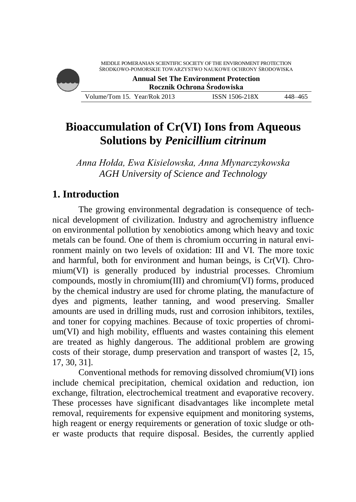MIDDLE POMERANIAN SCIENTIFIC SOCIETY OF THE ENVIRONMENT PROTECTION ŚRODKOWO-POMORSKIE TOWARZYSTWO NAUKOWE OCHRONY ŚRODOWISKA



**Annual Set The Environment Protection Rocznik Ochrona Środowiska**

Volume/Tom 15. Year/Rok 2013 ISSN 1506-218X 448–465

# **Bioaccumulation of Cr(VI) Ions from Aqueous Solutions by** *Penicillium citrinum*

*Anna Hołda, Ewa Kisielowska, Anna Młynarczykowska AGH University of Science and Technology*

# **1. Introduction**

The growing environmental degradation is consequence of technical development of civilization. Industry and agrochemistry influence on environmental pollution by xenobiotics among which heavy and toxic metals can be found. One of them is chromium occurring in natural environment mainly on two levels of oxidation: III and VI. The more toxic and harmful, both for environment and human beings, is Cr(VI). Chromium(VI) is generally produced by industrial processes. Chromium compounds, mostly in chromium(III) and chromium(VI) forms, produced by the chemical industry are used for chrome plating, the manufacture of dyes and pigments, leather tanning, and wood preserving. Smaller amounts are used in drilling muds, rust and corrosion inhibitors, textiles, and toner for copying machines. Because of toxic properties of chromium(VI) and high mobility, effluents and wastes containing this element are treated as highly dangerous. The additional problem are growing costs of their storage, dump preservation and transport of wastes [2, 15, 17, 30, 31].

Conventional methods for removing dissolved chromium(VI) ions include chemical precipitation, chemical oxidation and reduction, ion exchange, filtration, electrochemical treatment and evaporative recovery. These processes have significant disadvantages like incomplete metal removal, requirements for expensive equipment and monitoring systems, high reagent or energy requirements or generation of toxic sludge or other waste products that require disposal. Besides, the currently applied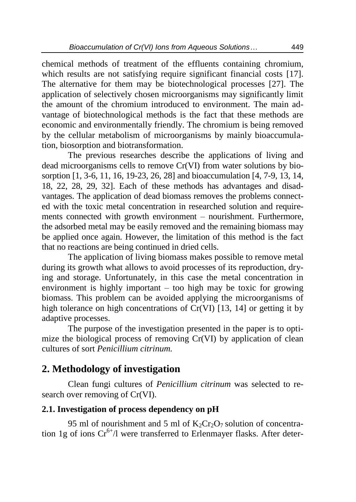chemical methods of treatment of the effluents containing chromium, which results are not satisfying require significant financial costs [17]. The alternative for them may be biotechnological processes [27]. The application of selectively chosen microorganisms may significantly limit the amount of the chromium introduced to environment. The main advantage of biotechnological methods is the fact that these methods are economic and environmentally friendly. The chromium is being removed by the cellular metabolism of microorganisms by mainly bioaccumulation, biosorption and biotransformation.

The previous researches describe the applications of living and dead microorganisms cells to remove Cr(VI) from water solutions by biosorption [1, 3-6, 11, 16, 19-23, 26, 28] and bioaccumulation [4, 7-9, 13, 14, 18, 22, 28, 29, 32]. Each of these methods has advantages and disadvantages. The application of dead biomass removes the problems connected with the toxic metal concentration in researched solution and requirements connected with growth environment – nourishment. Furthermore, the adsorbed metal may be easily removed and the remaining biomass may be applied once again. However, the limitation of this method is the fact that no reactions are being continued in dried cells.

The application of living biomass makes possible to remove metal during its growth what allows to avoid processes of its reproduction, drying and storage. Unfortunately, in this case the metal concentration in environment is highly important – too high may be toxic for growing biomass. This problem can be avoided applying the microorganisms of high tolerance on high concentrations of Cr(VI) [13, 14] or getting it by adaptive processes.

The purpose of the investigation presented in the paper is to optimize the biological process of removing Cr(VI) by application of clean cultures of sort *Penicillium citrinum.*

### **2. Methodology of investigation**

Clean fungi cultures of *Penicillium citrinum* was selected to research over removing of Cr(VI).

#### **2.1. Investigation of process dependency on pH**

95 ml of nourishment and 5 ml of  $K_2Cr_2O_7$  solution of concentration 1g of ions  $Cr^{6+}/l$  were transferred to Erlenmayer flasks. After deter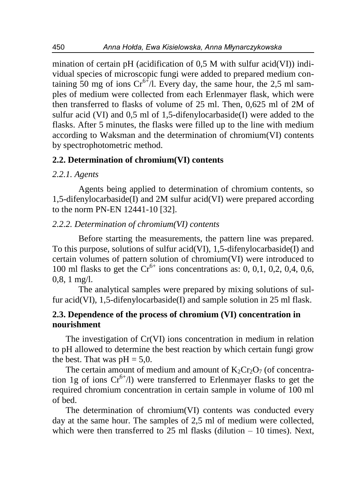mination of certain pH (acidification of 0,5 M with sulfur acid(VI)) individual species of microscopic fungi were added to prepared medium containing  $50$  mg of ions  $Cr^{6+}/l$ . Every day, the same hour, the 2,5 ml samples of medium were collected from each Erlenmayer flask, which were then transferred to flasks of volume of 25 ml. Then, 0,625 ml of 2M of sulfur acid (VI) and 0,5 ml of 1,5-difenylocarbaside(I) were added to the flasks. After 5 minutes, the flasks were filled up to the line with medium according to Waksman and the determination of chromium(VI) contents by spectrophotometric method.

#### **2.2. Determination of chromium(VI) contents**

#### *2.2.1. Agents*

Agents being applied to determination of chromium contents, so 1,5-difenylocarbaside(I) and 2M sulfur acid(VI) were prepared according to the norm PN-EN 12441-10 [32].

#### *2.2.2. Determination of chromium(VI) contents*

Before starting the measurements, the pattern line was prepared. To this purpose, solutions of sulfur acid(VI), 1,5-difenylocarbaside(I) and certain volumes of pattern solution of chromium(VI) were introduced to 100 ml flasks to get the  $Cr^{6+}$  ions concentrations as: 0, 0,1, 0,2, 0,4, 0,6, 0,8, 1 mg/l.

The analytical samples were prepared by mixing solutions of sulfur acid(VI), 1,5-difenylocarbaside(I) and sample solution in 25 ml flask.

#### **2.3. Dependence of the process of chromium (VI) concentration in nourishment**

The investigation of Cr(VI) ions concentration in medium in relation to pH allowed to determine the best reaction by which certain fungi grow the best. That was  $pH = 5.0$ .

The certain amount of medium and amount of  $K_2Cr_2O_7$  (of concentration 1g of ions  $Cr^{6+}/l$ ) were transferred to Erlenmayer flasks to get the required chromium concentration in certain sample in volume of 100 ml of bed.

The determination of chromium(VI) contents was conducted every day at the same hour. The samples of 2,5 ml of medium were collected, which were then transferred to  $25$  ml flasks (dilution  $-10$  times). Next,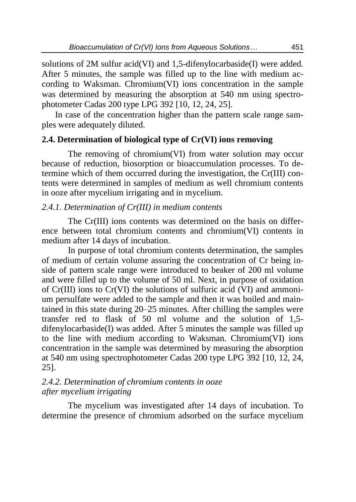solutions of 2M sulfur acid(VI) and 1,5-difenylocarbaside(I) were added. After 5 minutes, the sample was filled up to the line with medium according to Waksman. Chromium(VI) ions concentration in the sample was determined by measuring the absorption at 540 nm using spectrophotometer Cadas 200 type LPG 392 [10, 12, 24, 25].

In case of the concentration higher than the pattern scale range samples were adequately diluted.

#### **2.4. Determination of biological type of Cr(VI) ions removing**

The removing of chromium(VI) from water solution may occur because of reduction, biosorption or bioaccumulation processes. To determine which of them occurred during the investigation, the Cr(III) contents were determined in samples of medium as well chromium contents in ooze after mycelium irrigating and in mycelium.

#### *2.4.1. Determination of Cr(III) in medium contents*

The Cr(III) ions contents was determined on the basis on difference between total chromium contents and chromium(VI) contents in medium after 14 days of incubation.

In purpose of total chromium contents determination, the samples of medium of certain volume assuring the concentration of Cr being inside of pattern scale range were introduced to beaker of 200 ml volume and were filled up to the volume of 50 ml. Next, in purpose of oxidation of Cr(III) ions to Cr(VI) the solutions of sulfuric acid (VI) and ammonium persulfate were added to the sample and then it was boiled and maintained in this state during 20–25 minutes. After chilling the samples were transfer red to flask of 50 ml volume and the solution of 1,5 difenylocarbaside(I) was added. After 5 minutes the sample was filled up to the line with medium according to Waksman. Chromium(VI) ions concentration in the sample was determined by measuring the absorption at 540 nm using spectrophotometer Cadas 200 type LPG 392 [10, 12, 24, 25].

#### *2.4.2. Determination of chromium contents in ooze after mycelium irrigating*

The mycelium was investigated after 14 days of incubation. To determine the presence of chromium adsorbed on the surface mycelium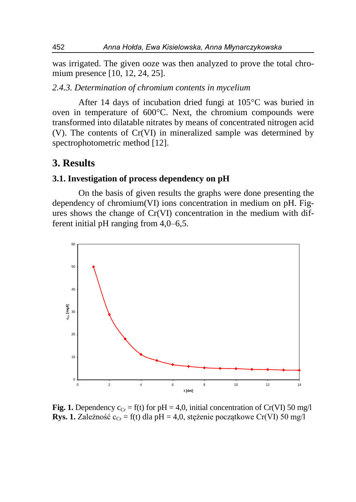was irrigated. The given ooze was then analyzed to prove the total chromium presence [10, 12, 24, 25].

#### *2.4.3. Determination of chromium contents in mycelium*

After 14 days of incubation dried fungi at 105°C was buried in oven in temperature of 600°C. Next, the chromium compounds were transformed into dilatable nitrates by means of concentrated nitrogen acid (V). The contents of Cr(VI) in mineralized sample was determined by spectrophotometric method [12].

#### **3. Results**

#### **3.1. Investigation of process dependency on pH**

On the basis of given results the graphs were done presenting the dependency of chromium(VI) ions concentration in medium on pH. Figures shows the change of Cr(VI) concentration in the medium with different initial pH ranging from 4,0–6,5.



**Fig. 1.** Dependency  $c_{Cr} = f(t)$  for pH = 4,0, initial concentration of Cr(VI) 50 mg/l **Rys. 1.** Zależność  $c_{Cr} = f(t)$  dla pH = 4,0, stężenie początkowe Cr(VI) 50 mg/l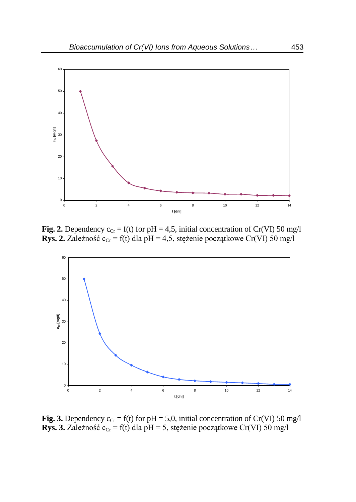

**Fig. 2.** Dependency  $c_{Cr} = f(t)$  for pH = 4,5, initial concentration of Cr(VI) 50 mg/l **Rys. 2.** Zależność  $c_{Cr} = f(t)$  dla pH = 4,5, stężenie początkowe Cr(VI) 50 mg/l



**Fig. 3.** Dependency  $c_{Cr} = f(t)$  for  $pH = 5.0$ , initial concentration of Cr(VI) 50 mg/l **Rys. 3.** Zależność  $c_{Cr} = f(t)$  dla pH = 5, stężenie początkowe Cr(VI) 50 mg/l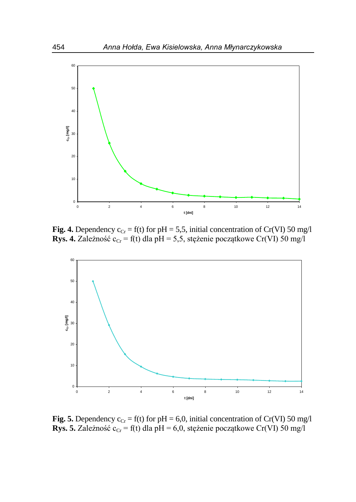

**Fig. 4.** Dependency  $c_{Cr} = f(t)$  for pH = 5,5, initial concentration of Cr(VI) 50 mg/l **Rys. 4.** Zależność  $c_{Cr} = f(t)$  dla pH = 5,5, stężenie początkowe Cr(VI) 50 mg/l



**Fig. 5.** Dependency  $c_{Cr} = f(t)$  for  $pH = 6.0$ , initial concentration of Cr(VI) 50 mg/l **Rys. 5.** Zależność  $c_{Cr} = f(t)$  dla pH = 6,0, stężenie początkowe Cr(VI) 50 mg/l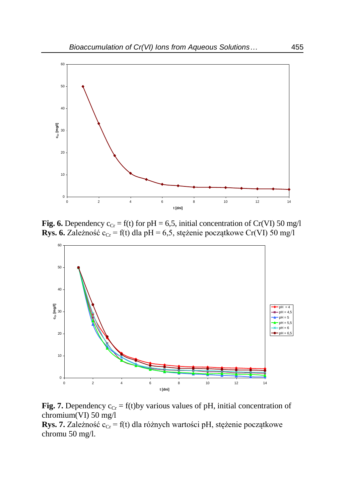

**Fig. 6.** Dependency  $c_{Cr} = f(t)$  for pH = 6,5, initial concentration of Cr(VI) 50 mg/l **Rys. 6.** Zależność c<sub>Cr</sub> = f(t) dla pH = 6,5, stężenie początkowe Cr(VI) 50 mg/l



**Fig. 7.** Dependency  $c_{Cr} = f(t)$  by various values of pH, initial concentration of chromium(VI) 50 mg/l

**Rys. 7.** Zależność  $c_{Cr} = f(t)$  dla różnych wartości pH, stężenie początkowe chromu 50 mg/l.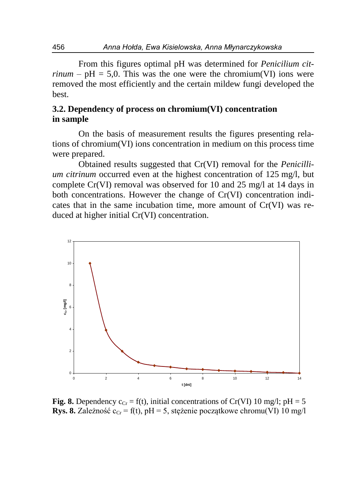From this figures optimal pH was determined for *Penicilium citrinum* –  $pH = 5.0$ . This was the one were the chromium(VI) ions were removed the most efficiently and the certain mildew fungi developed the best.

#### **3.2. Dependency of process on chromium(VI) concentration in sample**

On the basis of measurement results the figures presenting relations of chromium(VI) ions concentration in medium on this process time were prepared.

Obtained results suggested that Cr(VI) removal for the *Penicillium citrinum* occurred even at the highest concentration of 125 mg/l, but complete Cr(VI) removal was observed for 10 and 25 mg/l at 14 days in both concentrations. However the change of Cr(VI) concentration indicates that in the same incubation time, more amount of Cr(VI) was reduced at higher initial Cr(VI) concentration.



**Fig. 8.** Dependency  $c_{Cr} = f(t)$ , initial concentrations of Cr(VI) 10 mg/l; pH = 5 **Rys. 8.** Zależność  $c_{Cr} = f(t)$ , pH = 5, stężenie początkowe chromu(VI) 10 mg/l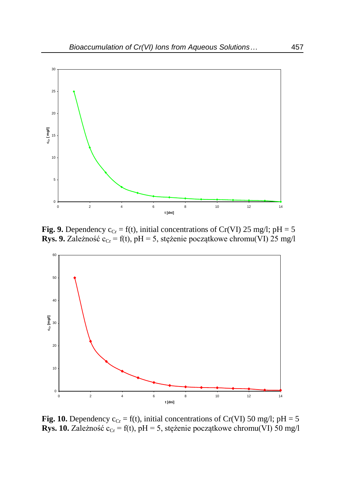

**Fig. 9.** Dependency  $c_{Cr} = f(t)$ , initial concentrations of Cr(VI) 25 mg/l; pH = 5 **Rys. 9.** Zależność c<sub>Cr</sub> = f(t), pH = 5, stężenie początkowe chromu(VI) 25 mg/l



**Fig. 10.** Dependency  $c_{Cr} = f(t)$ , initial concentrations of Cr(VI) 50 mg/l; pH = 5 **Rys. 10.** Zależność  $c_{Cr} = f(t)$ , pH = 5, stężenie początkowe chromu(VI) 50 mg/l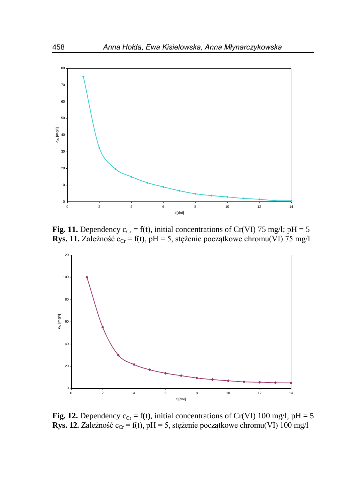

**Fig. 11.** Dependency  $c_{Cr} = f(t)$ , initial concentrations of Cr(VI) 75 mg/l; pH = 5 **Rys. 11.** Zależność  $c_{Cr} = f(t)$ , pH = 5, stężenie początkowe chromu(VI) 75 mg/l



**Fig. 12.** Dependency  $c_{Cr} = f(t)$ , initial concentrations of Cr(VI) 100 mg/l; pH = 5 **Rys. 12.** Zależność  $c_{Cr} = f(t)$ , pH = 5, stężenie początkowe chromu(VI) 100 mg/l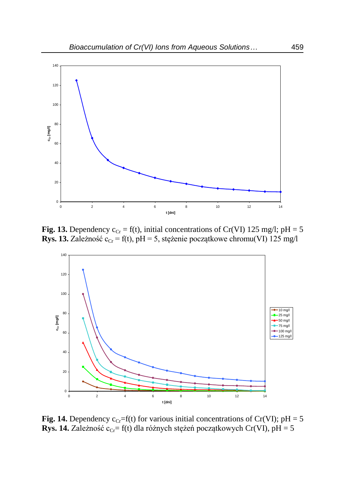

**Fig. 13.** Dependency  $c_{Cr} = f(t)$ , initial concentrations of Cr(VI) 125 mg/l; pH = 5 **Rys. 13.** Zależność  $c_{Cr} = f(t)$ , pH = 5, stężenie początkowe chromu(VI) 125 mg/l



**Fig. 14.** Dependency  $c_{Cr} = f(t)$  for various initial concentrations of Cr(VI); pH = 5 **Rys. 14.** Zależność c<sub>Cr</sub>= f(t) dla różnych stężeń początkowych Cr(VI), pH = 5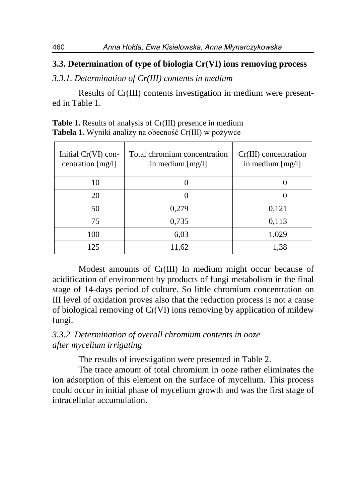#### **3.3. Determination of type of biologia Cr(VI) ions removing process**

*3.3.1. Determination of Cr(III) contents in medium* 

Results of Cr(III) contents investigation in medium were presented in Table 1.

| Initial $Cr(VI)$ con-<br>centration [mg/l] | Total chromium concentration<br>in medium $[mg/l]$ | $Cr(III)$ concentration<br>in medium $[mg/l]$ |
|--------------------------------------------|----------------------------------------------------|-----------------------------------------------|
| 10                                         |                                                    |                                               |
| 20                                         |                                                    |                                               |
| 50                                         | 0,279                                              | 0,121                                         |
| 75                                         | 0,735                                              | 0,113                                         |
| 100                                        | 6,03                                               | 1,029                                         |
| 125                                        | 11,62                                              | 1,38                                          |

**Table 1.** Results of analysis of Cr(III) presence in medium **Tabela 1.** Wyniki analizy na obecność Cr(III) w pożywce

Modest amounts of Cr(III) In medium might occur because of acidification of environment by products of fungi metabolism in the final stage of 14-days period of culture. So little chromium concentration on III level of oxidation proves also that the reduction process is not a cause of biological removing of Cr(VI) ions removing by application of mildew fungi.

#### *3.3.2. Determination of overall chromium contents in ooze after mycelium irrigating*

The results of investigation were presented in Table 2.

The trace amount of total chromium in ooze rather eliminates the ion adsorption of this element on the surface of mycelium. This process could occur in initial phase of mycelium growth and was the first stage of intracellular accumulation.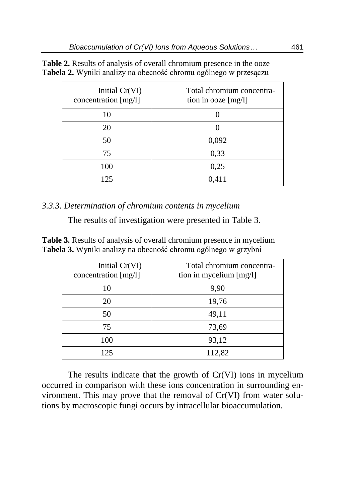**Table 2.** Results of analysis of overall chromium presence in the ooze **Tabela 2.** Wyniki analizy na obecność chromu ogólnego w przesączu

| Initial Cr(VI)<br>concentration [mg/l] | Total chromium concentra-<br>tion in ooze $[mg/l]$ |
|----------------------------------------|----------------------------------------------------|
| 10                                     |                                                    |
| 20                                     |                                                    |
| 50                                     | 0,092                                              |
| 75                                     | 0,33                                               |
| 100                                    | 0,25                                               |
| 125                                    | 0,411                                              |

#### *3.3.3. Determination of chromium contents in mycelium*

The results of investigation were presented in Table 3.

**Table 3.** Results of analysis of overall chromium presence in mycelium **Tabela 3.** Wyniki analizy na obecność chromu ogólnego w grzybni

| Initial Cr(VI)<br>concentration [mg/l] | Total chromium concentra-<br>tion in mycelium [mg/l] |
|----------------------------------------|------------------------------------------------------|
| 10                                     | 9,90                                                 |
| 20                                     | 19,76                                                |
| 50                                     | 49,11                                                |
| 75                                     | 73,69                                                |
| 100                                    | 93,12                                                |
| 125                                    | 112,82                                               |

The results indicate that the growth of Cr(VI) ions in mycelium occurred in comparison with these ions concentration in surrounding environment. This may prove that the removal of Cr(VI) from water solutions by macroscopic fungi occurs by intracellular bioaccumulation.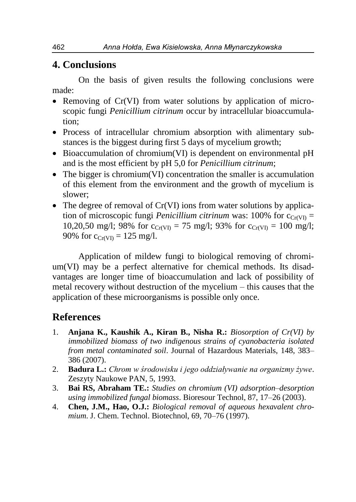### **4. Conclusions**

On the basis of given results the following conclusions were made:

- Removing of Cr(VI) from water solutions by application of microscopic fungi *Penicillium citrinum* occur by intracellular bioaccumulation;
- Process of intracellular chromium absorption with alimentary substances is the biggest during first 5 days of mycelium growth;
- Bioaccumulation of chromium(VI) is dependent on environmental pH and is the most efficient by pH 5,0 for *Penicillium citrinum*;
- The bigger is chromium (VI) concentration the smaller is accumulation of this element from the environment and the growth of mycelium is slower;
- The degree of removal of Cr(VI) ions from water solutions by application of microscopic fungi *Penicillium citrinum* was: 100% for  $c_{Cr(VI)}$  = 10,20,50 mg/l; 98% for  $c_{Cr(VI)} = 75$  mg/l; 93% for  $c_{Cr(VI)} = 100$  mg/l; 90% for  $c_{Cr(VI)} = 125$  mg/l.

Application of mildew fungi to biological removing of chromium(VI) may be a perfect alternative for chemical methods. Its disadvantages are longer time of bioaccumulation and lack of possibility of metal recovery without destruction of the mycelium – this causes that the application of these microorganisms is possible only once.

### **References**

- 1. **Anjana K., Kaushik A., Kiran B., Nisha R.:** *Biosorption of Cr(VI) by immobilized biomass of two indigenous strains of cyanobacteria isolated from metal contaminated soil*. Journal of Hazardous Materials, 148, 383– 386 (2007).
- 2. **Badura L.:** *Chrom w środowisku i jego oddziaływanie na organizmy żywe*. Zeszyty Naukowe PAN, 5, 1993.
- 3. **Bai RS, Abraham TE.:** *Studies on chromium (VI) adsorption–desorption using immobilized fungal biomass*. Bioresour Technol, 87, 17–26 (2003).
- 4. **Chen, J.M., Hao, O.J.:** *Biological removal of aqueous hexavalent chromium*. J. Chem. Technol. Biotechnol, 69, 70–76 (1997).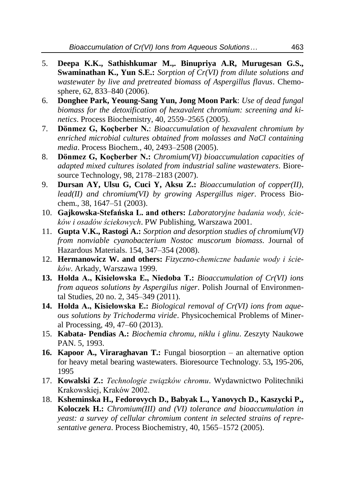- 5. **Deepa K.K., Sathishkumar M.,. Binupriya A.R, Murugesan G.S., Swaminathan K., Yun S.E.:** *Sorption of Cr(VI) from dilute solutions and wastewater by live and pretreated biomass of Aspergillus flavus*. Chemosphere, 62, 833–840 (2006).
- 6. **Donghee Park, Yeoung-Sang Yun, Jong Moon Park**: *Use of dead fungal biomass for the detoxification of hexavalent chromium: screening and kinetics*. Process Biochemistry, 40, 2559–2565 (2005).
- 7. **Dönmez G, Koçberber N.**: *Bioaccumulation of hexavalent chromium by enriched microbial cultures obtained from molasses and NaCl containing media*. Process Biochem., 40, 2493–2508 (2005).
- 8. **Dönmez G, Koçberber N.:** *Chromium(VI) bioaccumulation capacities of adapted mixed cultures isolated from industrial saline wastewaters*. Bioresource Technology, 98, 2178–2183 (2007).
- 9. **Dursan AY, Ulsu G, Cuci Y, Aksu Z.:** *Bioaccumulation of copper(II), lead(II) and chromium(VI) by growing Aspergillus niger*. Process Biochem., 38, 1647–51 (2003).
- 10. **Gajkowska-Stefańska L. and others:** *Laboratoryjne badania wody, ścieków i osadów ściekowych*. PW Publishing, Warszawa 2001.
- 11. **Gupta V.K., Rastogi A.:** *Sorption and desorption studies of chromium(VI) from nonviable cyanobacterium Nostoc muscorum biomass*. Journal of Hazardous Materials. 154, 347–354 (2008).
- 12. **Hermanowicz W. and others:** *Fizyczno-chemiczne badanie wody i ścieków*. Arkady, Warszawa 1999.
- **13. Hołda A., Kisielowska E., Niedoba T.:** *Bioaccumulation of Cr(VI) ions from aqueos solutions by Aspergilus niger*. Polish Journal of Environmental Studies, 20 no. 2, 345–349 (2011).
- **14. Hołda A., Kisielowska E.:** *Biological removal of Cr(VI) ions from aqueous solutions by Trichoderma viride*. Physicochemical Problems of Mineral Processing, 49, 47–60 (2013).
- 15. **Kabata- Pendias A.:** *Biochemia chromu, niklu i glinu*. Zeszyty Naukowe PAN. 5, 1993.
- **16. Kapoor A., Viraraghavan T.:** Fungal biosorption an alternative option for heavy metal bearing wastewaters. Bioresource Technology. 53**,** 195-206, 1995
- 17. **Kowalski Z.:** *Technologie związków chromu*. Wydawnictwo Politechniki Krakowskiej, Kraków 2002.
- 18. **Ksheminska H., Fedorovych D., Babyak L., Yanovych D., Kaszycki P., Koloczek H.:** *Chromium(III) and (VI) tolerance and bioaccumulation in yeast: a survey of cellular chromium content in selected strains of representative genera*. Process Biochemistry, 40, 1565–1572 (2005).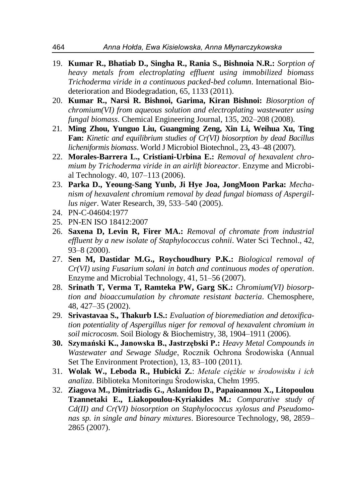- 19. **Kumar R., Bhatiab D., Singha R., Rania S., Bishnoia N.R.:** *Sorption of heavy metals from electroplating effluent using immobilized biomass Trichoderma viride in a continuous packed-bed column*. International Biodeterioration and Biodegradation, 65, 1133 (2011).
- 20. **Kumar R., Narsi R. Bishnoi, Garima, Kiran Bishnoi:** *Biosorption of chromium(VI) from aqueous solution and electroplating wastewater using fungal biomass*. Chemical Engineering Journal, 135, 202–208 (2008).
- 21. **Ming Zhou, Yunguo Liu, Guangming Zeng, Xin Li, Weihua Xu, Ting Fan:** *Kinetic and equilibrium studies of Cr(VI) biosorption by dead Bacillus licheniformis biomass*. World J Microbiol Biotechnol., 23**,** 43–48 (2007).
- 22. **Morales-Barrera L., Cristiani-Urbina E.:** *Removal of hexavalent chromium by Trichoderma viride in an airlift bioreactor*. Enzyme and Microbial Technology. 40, 107–113 (2006).
- 23. **Parka D., Yeoung-Sang Yunb, Ji Hye Joa, JongMoon Parka:** *Mechanism of hexavalent chromium removal by dead fungal biomass of Aspergillus niger*. Water Research, 39, 533–540 (2005).
- 24. [PN-C-04604:1977](https://sklep.pkn.pl/?a=show&m=product&pid=472682&page=1)
- 25. [PN-EN ISO 18412:2007](https://sklep.pkn.pl/?a=show&m=product&pid=537583&page=1)
- 26. **Saxena D, Levin R, Firer MA.:** *Removal of chromate from industrial effluent by a new isolate of Staphylococcus cohnii*. Water Sci Technol., 42, 93–8 (2000).
- 27. **Sen M, Dastidar M.G., Roychoudhury P.K.:** *Biological removal of Cr(VI) using Fusarium solani in batch and continuous modes of operation*. Enzyme and Microbial Technology, 41, 51–56 (2007).
- 28. **Srinath T, Verma T, Ramteka PW, Garg SK.:** *Chromium(VI) biosorption and bioaccumulation by chromate resistant bacteria*. Chemosphere, 48, 427–35 (2002).
- 29. **Srivastavaa S., Thakurb I.S.:** *Evaluation of bioremediation and detoxification potentiality of Aspergillus niger for removal of hexavalent chromium in soil microcosm*. Soil Biology & Biochemistry, 38, 1904–1911 (2006).
- **30. Szymański K., Janowska B., Jastrzębski P.:** *Heavy Metal Compounds in Wastewater and Sewage Sludge*, Rocznik Ochrona Środowiska (Annual Set The Environment Protection), 13, 83–100 (2011).
- 31. **Wolak W., Leboda R., Hubicki Z.**: *Metale ciężkie w środowisku i ich analiza*. Biblioteka Monitoringu Środowiska, Chełm 1995.
- 32. **Ziagova M., Dimitriadis G., Aslanidou D., Papaioannou X., Litopoulou Tzannetaki E., Liakopoulou-Kyriakides M.:** *Comparative study of Cd(II) and Cr(VI) biosorption on Staphylococcus xylosus and Pseudomonas sp. in single and binary mixtures*. Bioresource Technology, 98, 2859– 2865 (2007).